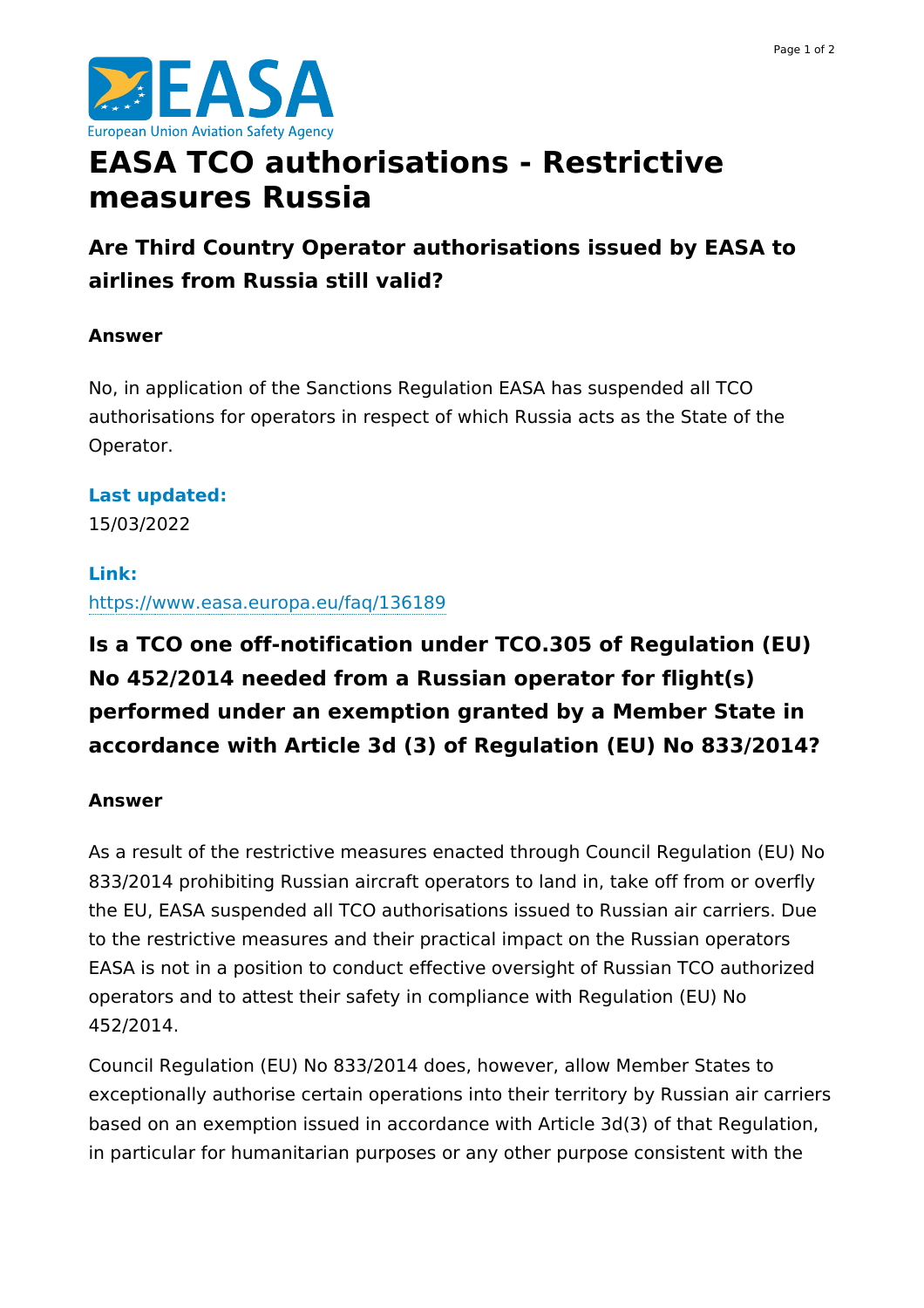

# **EASA TCO authorisations - Restrictive measures Russia**

**Are Third Country Operator authorisations issued by EASA to airlines from Russia still valid?**

## **Answer**

No, in application of the Sanctions Regulation EASA has suspended all TCO authorisations for operators in respect of which Russia acts as the State of the Operator.

# **Last updated:**

15/03/2022

## **Link:**

<https://www.easa.europa.eu/faq/136189>

# **Is a TCO one off-notification under TCO.305 of Regulation (EU) No 452/2014 needed from a Russian operator for flight(s) performed under an exemption granted by a Member State in accordance with Article 3d (3) of Regulation (EU) No 833/2014?**

### **Answer**

As a result of the restrictive measures enacted through Council Regulation (EU) No 833/2014 prohibiting Russian aircraft operators to land in, take off from or overfly the EU, EASA suspended all TCO authorisations issued to Russian air carriers. Due to the restrictive measures and their practical impact on the Russian operators EASA is not in a position to conduct effective oversight of Russian TCO authorized operators and to attest their safety in compliance with Regulation (EU) No 452/2014.

Council Regulation (EU) No 833/2014 does, however, allow Member States to exceptionally authorise certain operations into their territory by Russian air carriers based on an exemption issued in accordance with Article 3d(3) of that Regulation, in particular for humanitarian purposes or any other purpose consistent with the